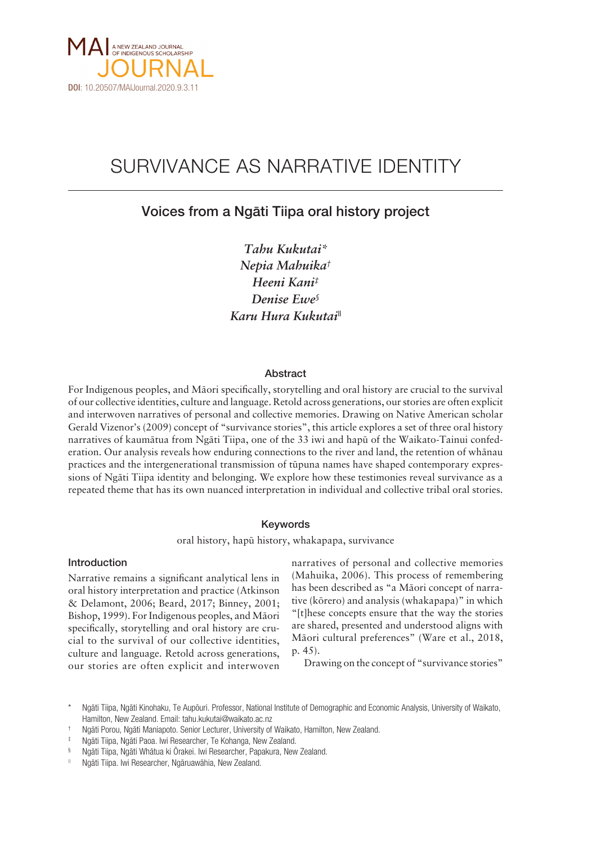

# SURVIVANCE AS NARRATIVE IDENTITY

# Voices from a Ngäti Tiipa oral history project

*Tahu Kukutai\* Nepia Mahuika† Heeni Kani‡ Denise Ewe§ Karu Hura Kukutai||*

# Abstract

For Indigenous peoples, and Mäori specifically, storytelling and oral history are crucial to the survival of our collective identities, culture and language. Retold across generations, our stories are often explicit and interwoven narratives of personal and collective memories. Drawing on Native American scholar Gerald Vizenor's (2009) concept of "survivance stories", this article explores a set of three oral history narratives of kaumätua from Ngäti Tiipa, one of the 33 iwi and hapü of the Waikato-Tainui confederation. Our analysis reveals how enduring connections to the river and land, the retention of whänau practices and the intergenerational transmission of tüpuna names have shaped contemporary expressions of Ngäti Tiipa identity and belonging. We explore how these testimonies reveal survivance as a repeated theme that has its own nuanced interpretation in individual and collective tribal oral stories.

# Keywords

oral history, hapü history, whakapapa, survivance

## Introduction

Narrative remains a significant analytical lens in oral history interpretation and practice (Atkinson & Delamont, 2006; Beard, 2017; Binney, 2001; Bishop, 1999). For Indigenous peoples, and Mäori specifically, storytelling and oral history are crucial to the survival of our collective identities, culture and language. Retold across generations, our stories are often explicit and interwoven

narratives of personal and collective memories (Mahuika, 2006). This process of remembering has been described as "a Mäori concept of narrative (körero) and analysis (whakapapa)" in which "[t]hese concepts ensure that the way the stories are shared, presented and understood aligns with Mäori cultural preferences" (Ware et al., 2018, p. 45).

Drawing on the concept of "survivance stories"

|| Ngäti Tiipa. Iwi Researcher, Ngäruawähia, New Zealand.

Ngāti Tiipa, Ngāti Kinohaku, Te Aupõuri. Professor, National Institute of Demographic and Economic Analysis, University of Waikato, Hamilton, New Zealand. Email: [tahu.kukutai@waikato.ac.nz](mailto:tahu.kukutai@waikato.ac.nz)

<sup>†</sup> Ngäti Porou, Ngäti Maniapoto. Senior Lecturer, University of Waikato, Hamilton, New Zealand.

Ngāti Tiipa, Ngāti Paoa. Iwi Researcher, Te Kohanga, New Zealand.

<sup>§</sup> Ngäti Tiipa, Ngäti Whätua ki Örakei. Iwi Researcher, Papakura, New Zealand.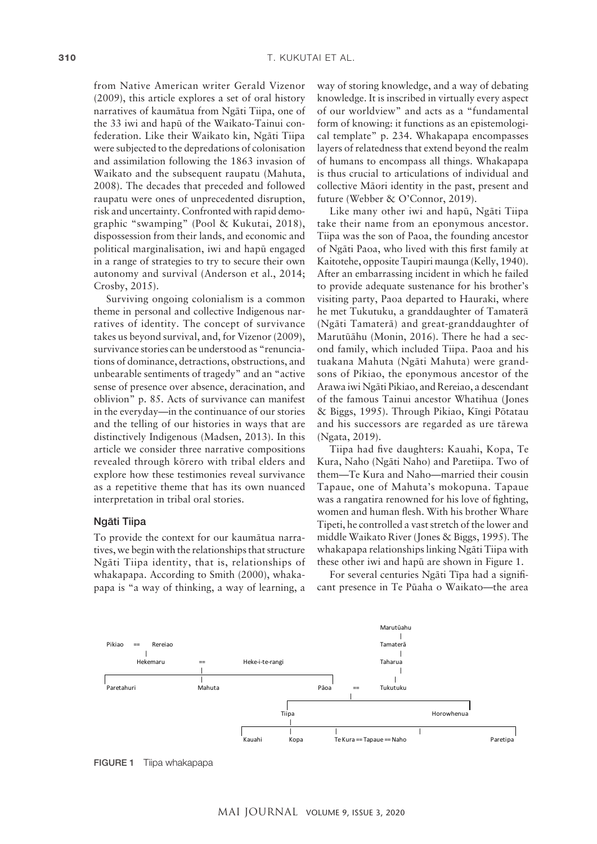from Native American writer Gerald Vizenor (2009), this article explores a set of oral history narratives of kaumätua from Ngäti Tiipa, one of the 33 iwi and hapü of the Waikato-Tainui confederation. Like their Waikato kin, Ngäti Tiipa were subjected to the depredations of colonisation and assimilation following the 1863 invasion of Waikato and the subsequent raupatu (Mahuta, 2008). The decades that preceded and followed raupatu were ones of unprecedented disruption, risk and uncertainty. Confronted with rapid demographic "swamping" (Pool & Kukutai, 2018), dispossession from their lands, and economic and political marginalisation, iwi and hapü engaged in a range of strategies to try to secure their own autonomy and survival (Anderson et al., 2014; Crosby, 2015).

Surviving ongoing colonialism is a common theme in personal and collective Indigenous narratives of identity. The concept of survivance takes us beyond survival, and, for Vizenor (2009), survivance stories can be understood as "renunciations of dominance, detractions, obstructions, and unbearable sentiments of tragedy" and an "active sense of presence over absence, deracination, and oblivion" p. 85. Acts of survivance can manifest in the everyday—in the continuance of our stories and the telling of our histories in ways that are distinctively Indigenous (Madsen, 2013). In this article we consider three narrative compositions revealed through körero with tribal elders and explore how these testimonies reveal survivance as a repetitive theme that has its own nuanced interpretation in tribal oral stories.

# Ngäti Tiipa

To provide the context for our kaumätua narratives, we begin with the relationships that structure Ngäti Tiipa identity, that is, relationships of whakapapa. According to Smith (2000), whakapapa is "a way of thinking, a way of learning, a

way of storing knowledge, and a way of debating knowledge. It is inscribed in virtually every aspect of our worldview" and acts as a "fundamental form of knowing: it functions as an epistemological template" p. 234. Whakapapa encompasses layers of relatedness that extend beyond the realm of humans to encompass all things. Whakapapa is thus crucial to articulations of individual and collective Mäori identity in the past, present and future (Webber & O'Connor, 2019).

Like many other iwi and hapü, Ngäti Tiipa take their name from an eponymous ancestor. Tiipa was the son of Paoa, the founding ancestor of Ngäti Paoa, who lived with this first family at Kaitotehe, opposite Taupiri maunga (Kelly, 1940). After an embarrassing incident in which he failed to provide adequate sustenance for his brother's visiting party, Paoa departed to Hauraki, where he met Tukutuku, a granddaughter of Tamaterä (Ngäti Tamaterä) and great-granddaughter of Marutüähu (Monin, 2016). There he had a second family, which included Tiipa. Paoa and his tuakana Mahuta (Ngäti Mahuta) were grandsons of Pikiao, the eponymous ancestor of the Arawa iwi Ngäti Pikiao, and Rereiao, a descendant of the famous Tainui ancestor Whatihua (Jones & Biggs, 1995). Through Pikiao, Kïngi Pötatau and his successors are regarded as ure tärewa (Ngata, 2019).

Tiipa had five daughters: Kauahi, Kopa, Te Kura, Naho (Ngäti Naho) and Paretiipa. Two of them—Te Kura and Naho—married their cousin Tapaue, one of Mahuta's mokopuna. Tapaue was a rangatira renowned for his love of fighting, women and human flesh. With his brother Whare Tipeti, he controlled a vast stretch of the lower and middle Waikato River (Jones & Biggs, 1995). The whakapapa relationships linking Ngäti Tiipa with these other iwi and hapü are shown in Figure 1.

For several centuries Ngäti Tïpa had a significant presence in Te Püaha o Waikato—the area



FIGURE 1 Tiipa whakapapa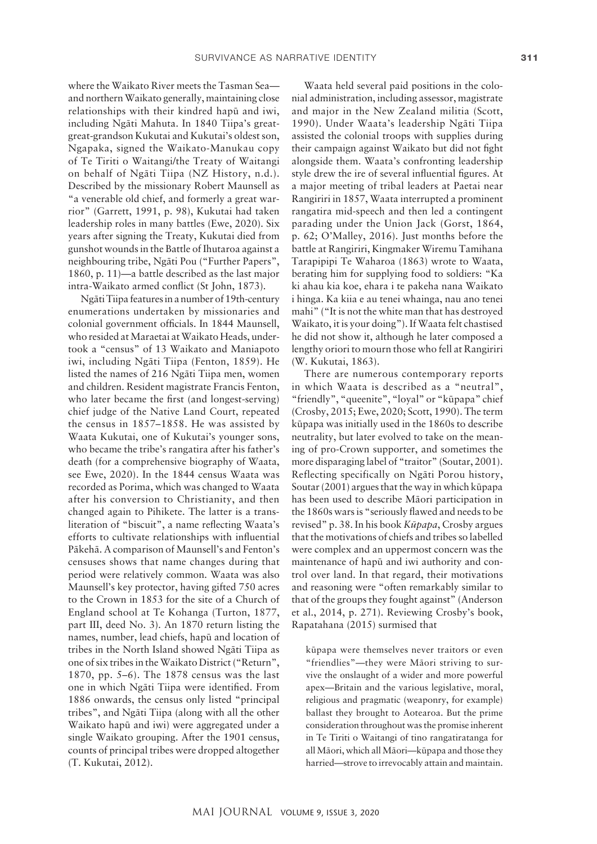where the Waikato River meets the Tasman Sea and northern Waikato generally, maintaining close relationships with their kindred hapü and iwi, including Ngäti Mahuta. In 1840 Tiipa's greatgreat-grandson Kukutai and Kukutai's oldest son, Ngapaka, signed the Waikato-Manukau copy of Te Tiriti o Waitangi/the Treaty of Waitangi on behalf of Ngäti Tiipa (NZ History, n.d.). Described by the missionary Robert Maunsell as "a venerable old chief, and formerly a great warrior" (Garrett, 1991, p. 98), Kukutai had taken leadership roles in many battles (Ewe, 2020). Six years after signing the Treaty, Kukutai died from gunshot wounds in the Battle of Ihutaroa against a neighbouring tribe, Ngäti Pou ("Further Papers", 1860, p. 11)—a battle described as the last major intra-Waikato armed conflict (St John, 1873).

Ngäti Tiipa features in a number of 19th-century enumerations undertaken by missionaries and colonial government officials. In 1844 Maunsell, who resided at Maraetai at Waikato Heads, undertook a "census" of 13 Waikato and Maniapoto iwi, including Ngäti Tiipa (Fenton, 1859). He listed the names of 216 Ngäti Tiipa men, women and children. Resident magistrate Francis Fenton, who later became the first (and longest-serving) chief judge of the Native Land Court, repeated the census in 1857–1858. He was assisted by Waata Kukutai, one of Kukutai's younger sons, who became the tribe's rangatira after his father's death (for a comprehensive biography of Waata, see Ewe, 2020). In the 1844 census Waata was recorded as Porima, which was changed to Waata after his conversion to Christianity, and then changed again to Pihikete. The latter is a transliteration of "biscuit", a name reflecting Waata's efforts to cultivate relationships with influential Päkehä. A comparison of Maunsell's and Fenton's censuses shows that name changes during that period were relatively common. Waata was also Maunsell's key protector, having gifted 750 acres to the Crown in 1853 for the site of a Church of England school at Te Kohanga (Turton, 1877, part III, deed No. 3). An 1870 return listing the names, number, lead chiefs, hapü and location of tribes in the North Island showed Ngäti Tiipa as one of six tribes in the Waikato District ("Return", 1870, pp. 5–6). The 1878 census was the last one in which Ngäti Tiipa were identified. From 1886 onwards, the census only listed "principal tribes", and Ngäti Tiipa (along with all the other Waikato hapü and iwi) were aggregated under a single Waikato grouping. After the 1901 census, counts of principal tribes were dropped altogether (T. Kukutai, 2012).

Waata held several paid positions in the colonial administration, including assessor, magistrate and major in the New Zealand militia (Scott, 1990). Under Waata's leadership Ngäti Tiipa assisted the colonial troops with supplies during their campaign against Waikato but did not fight alongside them. Waata's confronting leadership style drew the ire of several influential figures. At a major meeting of tribal leaders at Paetai near Rangiriri in 1857, Waata interrupted a prominent rangatira mid-speech and then led a contingent parading under the Union Jack (Gorst, 1864, p. 62; O'Malley, 2016). Just months before the battle at Rangiriri, Kingmaker Wiremu Tamihana Tarapipipi Te Waharoa (1863) wrote to Waata, berating him for supplying food to soldiers: "Ka ki ahau kia koe, ehara i te pakeha nana Waikato i hinga. Ka kiia e au tenei whainga, nau ano tenei mahi" ("It is not the white man that has destroyed Waikato, it is your doing"). If Waata felt chastised he did not show it, although he later composed a lengthy oriori to mourn those who fell at Rangiriri (W. Kukutai, 1863).

There are numerous contemporary reports in which Waata is described as a "neutral", "friendly", "queenite", "loyal" or "kūpapa" chief (Crosby, 2015; Ewe, 2020; Scott, 1990). The term küpapa was initially used in the 1860s to describe neutrality, but later evolved to take on the meaning of pro-Crown supporter, and sometimes the more disparaging label of "traitor" (Soutar, 2001). Reflecting specifically on Ngäti Porou history, Soutar (2001) argues that the way in which küpapa has been used to describe Mäori participation in the 1860s wars is "seriously flawed and needs to be revised" p. 38. In his book *Küpapa*, Crosby argues that the motivations of chiefs and tribes so labelled were complex and an uppermost concern was the maintenance of hapü and iwi authority and control over land. In that regard, their motivations and reasoning were "often remarkably similar to that of the groups they fought against" (Anderson et al., 2014, p. 271). Reviewing Crosby's book, Rapatahana (2015) surmised that

küpapa were themselves never traitors or even "friendlies"—they were Mäori striving to survive the onslaught of a wider and more powerful apex—Britain and the various legislative, moral, religious and pragmatic (weaponry, for example) ballast they brought to Aotearoa. But the prime consideration throughout was the promise inherent in Te Tiriti o Waitangi of tino rangatiratanga for all Mäori, which all Mäori—küpapa and those they harried—strove to irrevocably attain and maintain.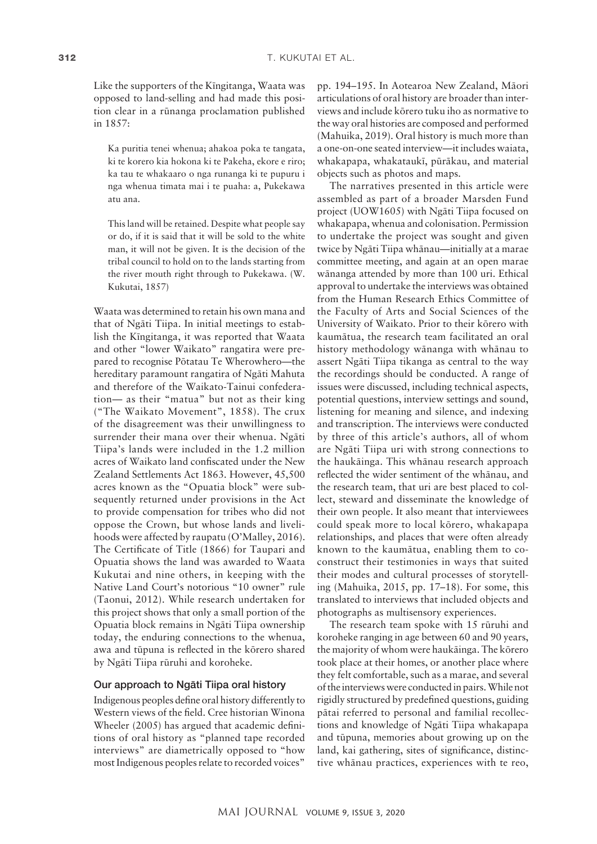Like the supporters of the Kïngitanga, Waata was opposed to land-selling and had made this position clear in a rünanga proclamation published in 1857:

Ka puritia tenei whenua; ahakoa poka te tangata, ki te korero kia hokona ki te Pakeha, ekore e riro; ka tau te whakaaro o nga runanga ki te pupuru i nga whenua timata mai i te puaha: a, Pukekawa atu ana.

This land will be retained. Despite what people say or do, if it is said that it will be sold to the white man, it will not be given. It is the decision of the tribal council to hold on to the lands starting from the river mouth right through to Pukekawa. (W. Kukutai, 1857)

Waata was determined to retain his own mana and that of Ngäti Tiipa. In initial meetings to establish the Kïngitanga, it was reported that Waata and other "lower Waikato" rangatira were prepared to recognise Pötatau Te Wherowhero—the hereditary paramount rangatira of Ngäti Mahuta and therefore of the Waikato-Tainui confederation— as their "matua" but not as their king ("The Waikato Movement", 1858). The crux of the disagreement was their unwillingness to surrender their mana over their whenua. Ngäti Tiipa's lands were included in the 1.2 million acres of Waikato land confiscated under the New Zealand Settlements Act 1863. However, 45,500 acres known as the "Opuatia block" were subsequently returned under provisions in the Act to provide compensation for tribes who did not oppose the Crown, but whose lands and livelihoods were affected by raupatu (O'Malley, 2016). The Certificate of Title (1866) for Taupari and Opuatia shows the land was awarded to Waata Kukutai and nine others, in keeping with the Native Land Court's notorious "10 owner" rule (Taonui, 2012). While research undertaken for this project shows that only a small portion of the Opuatia block remains in Ngäti Tiipa ownership today, the enduring connections to the whenua, awa and tüpuna is reflected in the körero shared by Ngäti Tiipa rüruhi and koroheke.

# Our approach to Ngäti Tiipa oral history

Indigenous peoples define oral history differently to Western views of the field. Cree historian Winona Wheeler (2005) has argued that academic definitions of oral history as "planned tape recorded interviews" are diametrically opposed to "how most Indigenous peoples relate to recorded voices"

pp. 194–195. In Aotearoa New Zealand, Mäori articulations of oral history are broader than interviews and include körero tuku iho as normative to the way oral histories are composed and performed (Mahuika, 2019). Oral history is much more than a one-on-one seated interview—it includes waiata, whakapapa, whakataukï, püräkau, and material objects such as photos and maps.

The narratives presented in this article were assembled as part of a broader Marsden Fund project (UOW1605) with Ngäti Tiipa focused on whakapapa, whenua and colonisation. Permission to undertake the project was sought and given twice by Ngäti Tiipa whänau—initially at a marae committee meeting, and again at an open marae wänanga attended by more than 100 uri. Ethical approval to undertake the interviews was obtained from the Human Research Ethics Committee of the Faculty of Arts and Social Sciences of the University of Waikato. Prior to their körero with kaumätua, the research team facilitated an oral history methodology wänanga with whänau to assert Ngäti Tiipa tikanga as central to the way the recordings should be conducted. A range of issues were discussed, including technical aspects, potential questions, interview settings and sound, listening for meaning and silence, and indexing and transcription. The interviews were conducted by three of this article's authors, all of whom are Ngäti Tiipa uri with strong connections to the haukäinga. This whänau research approach reflected the wider sentiment of the whänau, and the research team, that uri are best placed to collect, steward and disseminate the knowledge of their own people. It also meant that interviewees could speak more to local körero, whakapapa relationships, and places that were often already known to the kaumätua, enabling them to coconstruct their testimonies in ways that suited their modes and cultural processes of storytelling (Mahuika, 2015, pp. 17–18). For some, this translated to interviews that included objects and photographs as multisensory experiences.

The research team spoke with 15 rüruhi and koroheke ranging in age between 60 and 90 years, the majority of whom were haukäinga. The körero took place at their homes, or another place where they felt comfortable, such as a marae, and several of the interviews were conducted in pairs. While not rigidly structured by predefined questions, guiding pätai referred to personal and familial recollections and knowledge of Ngäti Tiipa whakapapa and tüpuna, memories about growing up on the land, kai gathering, sites of significance, distinctive whänau practices, experiences with te reo,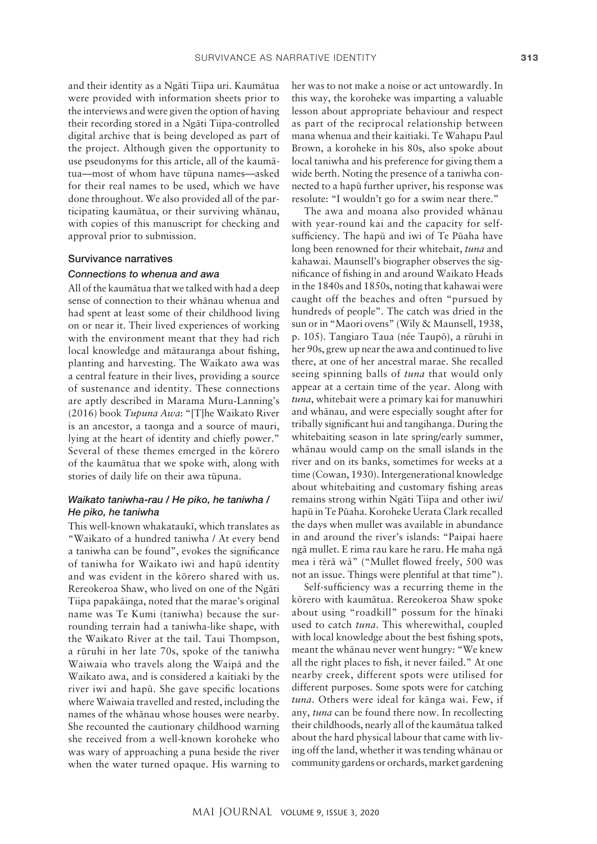and their identity as a Ngäti Tiipa uri. Kaumätua were provided with information sheets prior to the interviews and were given the option of having their recording stored in a Ngäti Tiipa-controlled digital archive that is being developed as part of the project. Although given the opportunity to use pseudonyms for this article, all of the kaumätua—most of whom have tüpuna names—asked for their real names to be used, which we have done throughout. We also provided all of the participating kaumätua, or their surviving whänau, with copies of this manuscript for checking and approval prior to submission.

# Survivance narratives

# *Connections to whenua and awa*

All of the kaumätua that we talked with had a deep sense of connection to their whänau whenua and had spent at least some of their childhood living on or near it. Their lived experiences of working with the environment meant that they had rich local knowledge and mätauranga about fishing, planting and harvesting. The Waikato awa was a central feature in their lives, providing a source of sustenance and identity. These connections are aptly described in Marama Muru-Lanning's (2016) book *Tupuna Awa*: "[T]he Waikato River is an ancestor, a taonga and a source of mauri, lying at the heart of identity and chiefly power." Several of these themes emerged in the körero of the kaumätua that we spoke with, along with stories of daily life on their awa tüpuna.

# *Waikato taniwha-rau / He piko, he taniwha / He piko, he taniwha*

This well-known whakataukï, which translates as "Waikato of a hundred taniwha / At every bend a taniwha can be found", evokes the significance of taniwha for Waikato iwi and hapü identity and was evident in the körero shared with us. Rereokeroa Shaw, who lived on one of the Ngäti Tiipa papakäinga, noted that the marae's original name was Te Kumi (taniwha) because the surrounding terrain had a taniwha-like shape, with the Waikato River at the tail. Taui Thompson, a rüruhi in her late 70s, spoke of the taniwha Waiwaia who travels along the Waipä and the Waikato awa, and is considered a kaitiaki by the river iwi and hapü. She gave specific locations where Waiwaia travelled and rested, including the names of the whänau whose houses were nearby. She recounted the cautionary childhood warning she received from a well-known koroheke who was wary of approaching a puna beside the river when the water turned opaque. His warning to her was to not make a noise or act untowardly. In this way, the koroheke was imparting a valuable lesson about appropriate behaviour and respect as part of the reciprocal relationship between mana whenua and their kaitiaki. Te Wahapu Paul Brown, a koroheke in his 80s, also spoke about local taniwha and his preference for giving them a wide berth. Noting the presence of a taniwha connected to a hapü further upriver, his response was resolute: "I wouldn't go for a swim near there."

The awa and moana also provided whänau with year-round kai and the capacity for selfsufficiency. The hapü and iwi of Te Püaha have long been renowned for their whitebait, *tuna* and kahawai. Maunsell's biographer observes the significance of fishing in and around Waikato Heads in the 1840s and 1850s, noting that kahawai were caught off the beaches and often "pursued by hundreds of people". The catch was dried in the sun or in "Maori ovens" (Wily & Maunsell, 1938, p. 105). Tangiaro Taua (née Taupö), a rüruhi in her 90s, grew up near the awa and continued to live there, at one of her ancestral marae. She recalled seeing spinning balls of *tuna* that would only appear at a certain time of the year. Along with *tuna*, whitebait were a primary kai for manuwhiri and whänau, and were especially sought after for tribally significant hui and tangihanga. During the whitebaiting season in late spring/early summer, whänau would camp on the small islands in the river and on its banks, sometimes for weeks at a time (Cowan, 1930). Intergenerational knowledge about whitebaiting and customary fishing areas remains strong within Ngäti Tiipa and other iwi/ hapü in Te Püaha. Koroheke Uerata Clark recalled the days when mullet was available in abundance in and around the river's islands: "Paipai haere ngä mullet. E rima rau kare he raru. He maha ngä mea i tërä wä" ("Mullet flowed freely, 500 was not an issue. Things were plentiful at that time").

Self-sufficiency was a recurring theme in the körero with kaumätua. Rereokeroa Shaw spoke about using "roadkill" possum for the hïnaki used to catch *tuna*. This wherewithal, coupled with local knowledge about the best fishing spots, meant the whänau never went hungry: "We knew all the right places to fish, it never failed." At one nearby creek, different spots were utilised for different purposes. Some spots were for catching *tuna*. Others were ideal for känga wai. Few, if any, *tuna* can be found there now. In recollecting their childhoods, nearly all of the kaumätua talked about the hard physical labour that came with living off the land, whether it was tending whänau or community gardens or orchards, market gardening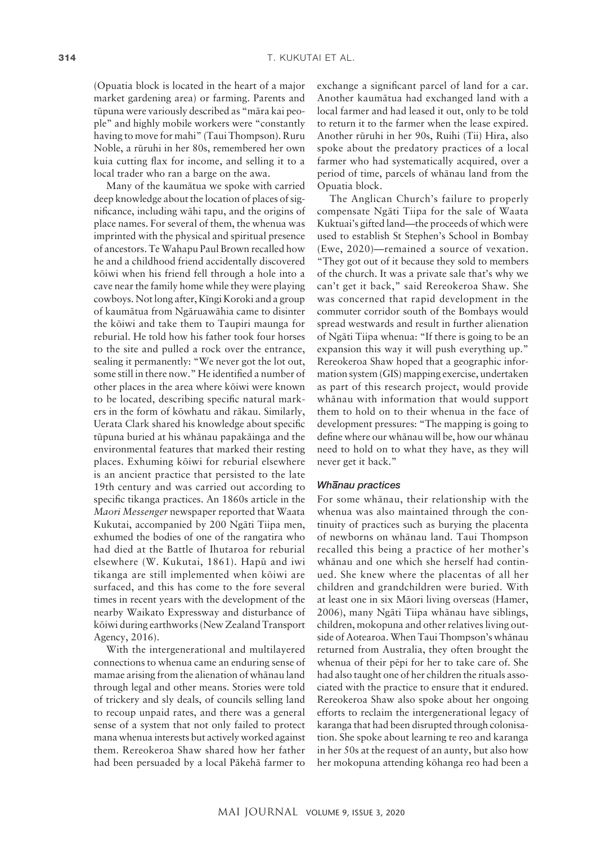(Opuatia block is located in the heart of a major market gardening area) or farming. Parents and tüpuna were variously described as "mära kai people" and highly mobile workers were "constantly having to move for mahi" (Taui Thompson). Ruru Noble, a rüruhi in her 80s, remembered her own kuia cutting flax for income, and selling it to a local trader who ran a barge on the awa.

Many of the kaumätua we spoke with carried deep knowledge about the location of places of significance, including wähi tapu, and the origins of place names. For several of them, the whenua was imprinted with the physical and spiritual presence of ancestors. Te Wahapu Paul Brown recalled how he and a childhood friend accidentally discovered köiwi when his friend fell through a hole into a cave near the family home while they were playing cowboys. Not long after, Kïngi Koroki and a group of kaumätua from Ngäruawähia came to disinter the köiwi and take them to Taupiri maunga for reburial. He told how his father took four horses to the site and pulled a rock over the entrance, sealing it permanently: "We never got the lot out, some still in there now." He identified a number of other places in the area where köiwi were known to be located, describing specific natural markers in the form of köwhatu and räkau. Similarly, Uerata Clark shared his knowledge about specific tüpuna buried at his whänau papakäinga and the environmental features that marked their resting places. Exhuming köiwi for reburial elsewhere is an ancient practice that persisted to the late 19th century and was carried out according to specific tikanga practices. An 1860s article in the *Maori Messenger* newspaper reported that Waata Kukutai, accompanied by 200 Ngäti Tiipa men, exhumed the bodies of one of the rangatira who had died at the Battle of Ihutaroa for reburial elsewhere (W. Kukutai, 1861). Hapü and iwi tikanga are still implemented when köiwi are surfaced, and this has come to the fore several times in recent years with the development of the nearby Waikato Expressway and disturbance of köiwi during earthworks (New Zealand Transport Agency, 2016).

With the intergenerational and multilayered connections to whenua came an enduring sense of mamae arising from the alienation of whänau land through legal and other means. Stories were told of trickery and sly deals, of councils selling land to recoup unpaid rates, and there was a general sense of a system that not only failed to protect mana whenua interests but actively worked against them. Rereokeroa Shaw shared how her father had been persuaded by a local Päkehä farmer to

exchange a significant parcel of land for a car. Another kaumätua had exchanged land with a local farmer and had leased it out, only to be told to return it to the farmer when the lease expired. Another rüruhi in her 90s, Ruihi (Tii) Hira, also spoke about the predatory practices of a local farmer who had systematically acquired, over a period of time, parcels of whänau land from the Opuatia block.

The Anglican Church's failure to properly compensate Ngäti Tiipa for the sale of Waata Kuktuai's gifted land—the proceeds of which were used to establish St Stephen's School in Bombay (Ewe, 2020)—remained a source of vexation. "They got out of it because they sold to members of the church. It was a private sale that's why we can't get it back," said Rereokeroa Shaw. She was concerned that rapid development in the commuter corridor south of the Bombays would spread westwards and result in further alienation of Ngäti Tiipa whenua: "If there is going to be an expansion this way it will push everything up." Rereokeroa Shaw hoped that a geographic information system (GIS) mapping exercise, undertaken as part of this research project, would provide whänau with information that would support them to hold on to their whenua in the face of development pressures: "The mapping is going to define where our whänau will be, how our whänau need to hold on to what they have, as they will never get it back."

# *Wh– anau practices*

For some whänau, their relationship with the whenua was also maintained through the continuity of practices such as burying the placenta of newborns on whänau land. Taui Thompson recalled this being a practice of her mother's whänau and one which she herself had continued. She knew where the placentas of all her children and grandchildren were buried. With at least one in six Mäori living overseas (Hamer, 2006), many Ngäti Tiipa whänau have siblings, children, mokopuna and other relatives living outside of Aotearoa. When Taui Thompson's whänau returned from Australia, they often brought the whenua of their pëpi for her to take care of. She had also taught one of her children the rituals associated with the practice to ensure that it endured. Rereokeroa Shaw also spoke about her ongoing efforts to reclaim the intergenerational legacy of karanga that had been disrupted through colonisation. She spoke about learning te reo and karanga in her 50s at the request of an aunty, but also how her mokopuna attending köhanga reo had been a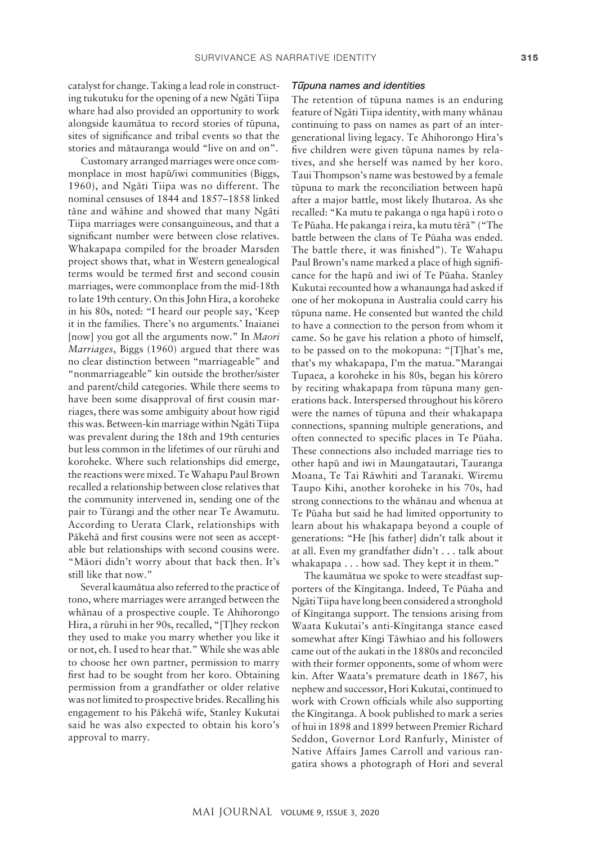catalyst for change. Taking a lead role in constructing tukutuku for the opening of a new Ngäti Tiipa whare had also provided an opportunity to work alongside kaumätua to record stories of tüpuna, sites of significance and tribal events so that the stories and mätauranga would "live on and on".

Customary arranged marriages were once commonplace in most hapü/iwi communities (Biggs, 1960), and Ngäti Tiipa was no different. The nominal censuses of 1844 and 1857–1858 linked täne and wähine and showed that many Ngäti Tiipa marriages were consanguineous, and that a significant number were between close relatives. Whakapapa compiled for the broader Marsden project shows that, what in Western genealogical terms would be termed first and second cousin marriages, were commonplace from the mid-18th to late 19th century. On this John Hira, a koroheke in his 80s, noted: "I heard our people say, 'Keep it in the families. There's no arguments.' Inaianei [now] you got all the arguments now." In *Maori Marriages*, Biggs (1960) argued that there was no clear distinction between "marriageable" and "nonmarriageable" kin outside the brother/sister and parent/child categories. While there seems to have been some disapproval of first cousin marriages, there was some ambiguity about how rigid this was. Between-kin marriage within Ngäti Tiipa was prevalent during the 18th and 19th centuries but less common in the lifetimes of our rüruhi and koroheke. Where such relationships did emerge, the reactions were mixed. Te Wahapu Paul Brown recalled a relationship between close relatives that the community intervened in, sending one of the pair to Türangi and the other near Te Awamutu. According to Uerata Clark, relationships with Päkehä and first cousins were not seen as acceptable but relationships with second cousins were. "Mäori didn't worry about that back then. It's still like that now."

Several kaumätua also referred to the practice of tono, where marriages were arranged between the whänau of a prospective couple. Te Ahihorongo Hira, a rüruhi in her 90s, recalled, "[T]hey reckon they used to make you marry whether you like it or not, eh. I used to hear that." While she was able to choose her own partner, permission to marry first had to be sought from her koro. Obtaining permission from a grandfather or older relative was not limited to prospective brides. Recalling his engagement to his Päkehä wife, Stanley Kukutai said he was also expected to obtain his koro's approval to marry.

# *T – upuna names and identities*

The retention of tüpuna names is an enduring feature of Ngäti Tiipa identity, with many whänau continuing to pass on names as part of an intergenerational living legacy. Te Ahihorongo Hira's five children were given tüpuna names by relatives, and she herself was named by her koro. Taui Thompson's name was bestowed by a female tüpuna to mark the reconciliation between hapü after a major battle, most likely Ihutaroa. As she recalled: "Ka mutu te pakanga o nga hapü i roto o Te Püaha. He pakanga i reira, ka mutu tërä" ("The battle between the clans of Te Püaha was ended. The battle there, it was finished"). Te Wahapu Paul Brown's name marked a place of high significance for the hapü and iwi of Te Püaha. Stanley Kukutai recounted how a whanaunga had asked if one of her mokopuna in Australia could carry his tüpuna name. He consented but wanted the child to have a connection to the person from whom it came. So he gave his relation a photo of himself, to be passed on to the mokopuna: "[T]hat's me, that's my whakapapa, I'm the matua."Marangai Tupaea, a koroheke in his 80s, began his körero by reciting whakapapa from tüpuna many generations back. Interspersed throughout his körero were the names of tüpuna and their whakapapa connections, spanning multiple generations, and often connected to specific places in Te Püaha. These connections also included marriage ties to other hapü and iwi in Maungatautari, Tauranga Moana, Te Tai Räwhiti and Taranaki. Wiremu Taupo Kihi, another koroheke in his 70s, had strong connections to the whänau and whenua at Te Püaha but said he had limited opportunity to learn about his whakapapa beyond a couple of generations: "He [his father] didn't talk about it at all. Even my grandfather didn't . . . talk about whakapapa . . . how sad. They kept it in them."

The kaumätua we spoke to were steadfast supporters of the Kïngitanga. Indeed, Te Püaha and Ngäti Tiipa have long been considered a stronghold of Kïngitanga support. The tensions arising from Waata Kukutai's anti-Kïngitanga stance eased somewhat after Kïngi Täwhiao and his followers came out of the aukati in the 1880s and reconciled with their former opponents, some of whom were kin. After Waata's premature death in 1867, his nephew and successor, Hori Kukutai, continued to work with Crown officials while also supporting the Kïngitanga. A book published to mark a series of hui in 1898 and 1899 between Premier Richard Seddon, Governor Lord Ranfurly, Minister of Native Affairs James Carroll and various rangatira shows a photograph of Hori and several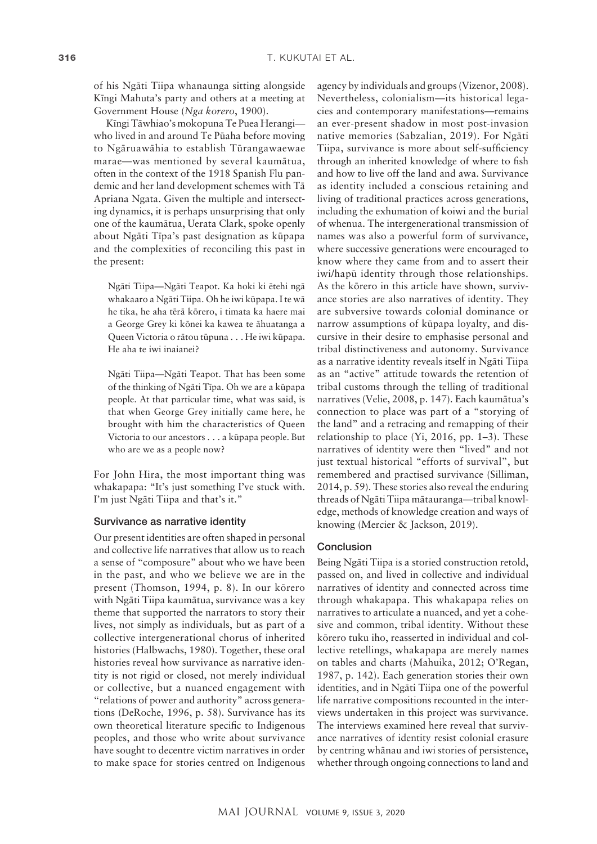of his Ngäti Tiipa whanaunga sitting alongside Kïngi Mahuta's party and others at a meeting at Government House (*Nga korero*, 1900).

Kïngi Täwhiao's mokopuna Te Puea Herangi who lived in and around Te Püaha before moving to Ngäruawähia to establish Türangawaewae marae—was mentioned by several kaumätua, often in the context of the 1918 Spanish Flu pandemic and her land development schemes with Tä Apriana Ngata. Given the multiple and intersecting dynamics, it is perhaps unsurprising that only one of the kaumätua, Uerata Clark, spoke openly about Ngäti Tïpa's past designation as küpapa and the complexities of reconciling this past in the present:

Ngäti Tiipa—Ngäti Teapot. Ka hoki ki ëtehi ngä whakaaro a Ngäti Tiipa. Oh he iwi küpapa. I te wä he tika, he aha tërä körero, i timata ka haere mai a George Grey ki könei ka kawea te ähuatanga a Queen Victoria o rätou tüpuna . . . He iwi küpapa. He aha te iwi inaianei?

Ngäti Tiipa—Ngäti Teapot. That has been some of the thinking of Ngäti Tïpa. Oh we are a küpapa people. At that particular time, what was said, is that when George Grey initially came here, he brought with him the characteristics of Queen Victoria to our ancestors . . . a küpapa people. But who are we as a people now?

For John Hira, the most important thing was whakapapa: "It's just something I've stuck with. I'm just Ngäti Tiipa and that's it."

#### Survivance as narrative identity

Our present identities are often shaped in personal and collective life narratives that allow us to reach a sense of "composure" about who we have been in the past, and who we believe we are in the present (Thomson, 1994, p. 8). In our körero with Ngäti Tiipa kaumätua, survivance was a key theme that supported the narrators to story their lives, not simply as individuals, but as part of a collective intergenerational chorus of inherited histories (Halbwachs, 1980). Together, these oral histories reveal how survivance as narrative identity is not rigid or closed, not merely individual or collective, but a nuanced engagement with "relations of power and authority" across generations (DeRoche, 1996, p. 58). Survivance has its own theoretical literature specific to Indigenous peoples, and those who write about survivance have sought to decentre victim narratives in order to make space for stories centred on Indigenous

agency by individuals and groups (Vizenor, 2008). Nevertheless, colonialism—its historical legacies and contemporary manifestations—remains an ever-present shadow in most post-invasion native memories (Sabzalian, 2019). For Ngäti Tiipa, survivance is more about self-sufficiency through an inherited knowledge of where to fish and how to live off the land and awa. Survivance as identity included a conscious retaining and living of traditional practices across generations, including the exhumation of koiwi and the burial of whenua. The intergenerational transmission of names was also a powerful form of survivance, where successive generations were encouraged to know where they came from and to assert their iwi/hapü identity through those relationships. As the körero in this article have shown, survivance stories are also narratives of identity. They are subversive towards colonial dominance or narrow assumptions of küpapa loyalty, and discursive in their desire to emphasise personal and tribal distinctiveness and autonomy. Survivance as a narrative identity reveals itself in Ngäti Tiipa as an "active" attitude towards the retention of tribal customs through the telling of traditional narratives (Velie, 2008, p. 147). Each kaumätua's connection to place was part of a "storying of the land" and a retracing and remapping of their relationship to place (Yi, 2016, pp. 1–3). These narratives of identity were then "lived" and not just textual historical "efforts of survival", but remembered and practised survivance (Silliman, 2014, p. 59). These stories also reveal the enduring threads of Ngäti Tiipa mätauranga—tribal knowledge, methods of knowledge creation and ways of knowing (Mercier & Jackson, 2019).

#### Conclusion

Being Ngäti Tiipa is a storied construction retold, passed on, and lived in collective and individual narratives of identity and connected across time through whakapapa. This whakapapa relies on narratives to articulate a nuanced, and yet a cohesive and common, tribal identity. Without these körero tuku iho, reasserted in individual and collective retellings, whakapapa are merely names on tables and charts (Mahuika, 2012; O'Regan, 1987, p. 142). Each generation stories their own identities, and in Ngäti Tiipa one of the powerful life narrative compositions recounted in the interviews undertaken in this project was survivance. The interviews examined here reveal that survivance narratives of identity resist colonial erasure by centring whänau and iwi stories of persistence, whether through ongoing connections to land and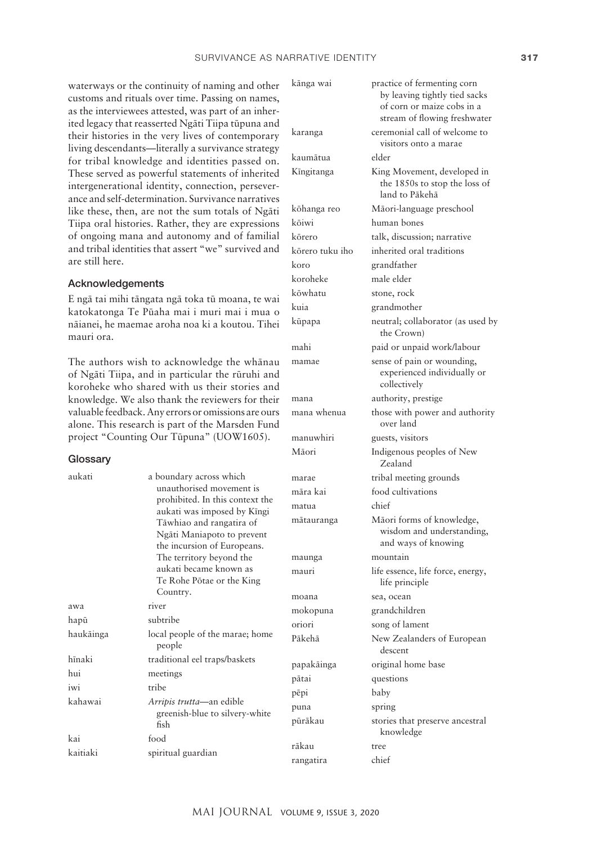waterways or the continuity of naming and other customs and rituals over time. Passing on names, as the interviewees attested, was part of an inherited legacy that reasserted Ngäti Tiipa tüpuna and their histories in the very lives of contemporary living descendants—literally a survivance strategy for tribal knowledge and identities passed on. These served as powerful statements of inherited intergenerational id ance and self-determ like these, then, are Tiipa oral histories. of ongoing mana a and tribal identities are still here.

#### Acknowledgemen

E ngā tai mihi tānga katokatonga Te Pū nāianei, he maemae mauri ora.

The authors wish to of Ngāti Tiipa, and koroheke who shar knowledge. We also valuable feedback. A alone. This research project "Counting (

Country.

haukāinga local people of the marae; home people hīnaki traditional eel traps/baskets

kahawai *Arripis trutta*—an edible

kaitiaki spiritual guardian

fish

Ngäti Maniapoto to prevent the incursion of Europeans. The territory beyond the aukati became known as Te Rohe Pötae or the King

greenish-blue to silvery-white

# **Glossary**

aukati a

awa river hapü subtribe

hui meetings iwi tribe

kai food

| vellui statellients ol innellieu<br>lentity, connection, persever-<br>ination. Survivance narratives<br>not the sum totals of Ngāti<br>Rather, they are expressions<br>nd autonomy and of familial                      | kōhanga reo<br>kōiwi<br>kōrero                                   |
|-------------------------------------------------------------------------------------------------------------------------------------------------------------------------------------------------------------------------|------------------------------------------------------------------|
| that assert "we" survived and<br>ıts<br>ıta ngā toka tū moana, te wai<br>aha mai i muri mai i mua o<br>aroha noa ki a koutou. Tihei                                                                                     | kōrero tuku iho<br>koro<br>koroheke<br>kōwhatu<br>kuia<br>kūpapa |
| o acknowledge the whānau:<br>in particular the rūruhi and<br>red with us their stories and<br>thank the reviewers for their<br>ny errors or omissions are ours<br>is part of the Marsden Fund<br>Our Tūpuna" (UOW1605). | mahi<br>mamae<br>mana<br>mana whenua<br>manuwhiri<br>Māori       |
| boundary across which<br>unauthorised movement is<br>prohibited. In this context the<br>aukati was imposed by Kīngi<br>Tāwhiao and rangatira of                                                                         | marae<br>māra kai<br>matua<br>mātauranga                         |

stream of flowing freshwater karanga ceremonial call of welcome to visitors onto a marae kaumätua elder Kingitanga King Movement, developed in the 1850s to stop the loss of land to Päkehä Māori-language preschool human bones talk, discussion; narrative inherited oral traditions grandfather male elder stone, rock grandmother neutral; collaborator (as used by the Crown) paid or unpaid work/labour sense of pain or wounding, experienced individually or collectively authority, prestige those with power and authority over land guests, visitors Indigenous peoples of New Zealand tribal meeting grounds food cultivations chief nga Mäori forms of knowledge, wisdom and understanding, and ways of knowing maunga mountain mauri life essence, life force, energy, life principle moana sea, ocean mokopuna grandchildren oriori song of lament Päkehä New Zealanders of European descent papakäinga original home base pätai questions pëpi baby puna spring püräkau stories that preserve ancestral knowledge räkau tree rangatira chief

känga wai practice of fermenting corn

by leaving tightly tied sacks of corn or maize cobs in a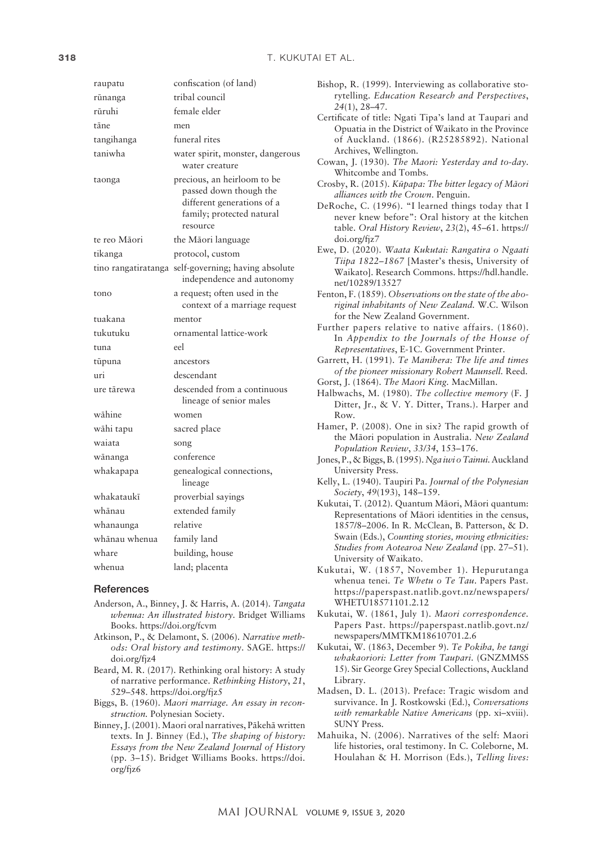| raupatu             | confiscation (of land)                                                                                                       |
|---------------------|------------------------------------------------------------------------------------------------------------------------------|
| rūnanga             | tribal council                                                                                                               |
| rūruhi              | female elder                                                                                                                 |
| tāne                | men                                                                                                                          |
| tangihanga          | funeral rites                                                                                                                |
| taniwha             | water spirit, monster, dangerous<br>water creature                                                                           |
| taonga              | precious, an heirloom to be<br>passed down though the<br>different generations of a<br>family; protected natural<br>resource |
| te reo Māori        | the Māori language                                                                                                           |
| tikanga             | protocol, custom                                                                                                             |
| tino rangatiratanga | self-governing; having absolute<br>independence and autonomy                                                                 |
| tono                | a request; often used in the<br>context of a marriage request                                                                |
| tuakana             | mentor                                                                                                                       |
| tukutuku            | ornamental lattice-work                                                                                                      |
| tuna                | eel                                                                                                                          |
|                     |                                                                                                                              |
| tūpuna              | ancestors                                                                                                                    |
| uri                 | descendant                                                                                                                   |
| ure tārewa          | descended from a continuous<br>lineage of senior males                                                                       |
| wāhine              | women                                                                                                                        |
| wāhi tapu           | sacred place                                                                                                                 |
| waiata              | song                                                                                                                         |
| wānanga             | conference                                                                                                                   |
| whakapapa           | genealogical connections,<br>lineage                                                                                         |
| whakataukī          | proverbial sayings                                                                                                           |
| whānau              | extended family                                                                                                              |
| whanaunga           | relative                                                                                                                     |
| whānau whenua       | family land                                                                                                                  |
| whare               | building, house                                                                                                              |

## **References**

- Anderson, A., Binney, J. & Harris, A. (2014). *Tangata whenua: An illustrated history.* Bridget Williams Books. <https://doi.org/fcvm>
- Atkinson, P., & Delamont, S. (2006). *Narrative methods: Oral history and testimony*. SAGE. [https://](https://doi.org/fjz4) [doi.org/fjz4](https://doi.org/fjz4)
- Beard, M. R. (2017). Rethinking oral history: A study of narrative performance. *Rethinking History*, *21*, 529–548.<https://doi.org/fjz5>
- Biggs, B. (1960). *Maori marriage. An essay in reconstruction.* Polynesian Society.
- Binney, J. (2001). Maori oral narratives, Päkehä written texts. In J. Binney (Ed.), *The shaping of history: Essays from the New Zealand Journal of History* (pp. 3–15). Bridget Williams Books. [https://doi.](https://doi.org/fjz6) [org/fjz6](https://doi.org/fjz6)

| Bishop, R. (1999). Interviewing as collaborative sto-<br>rytelling. Education Research and Perspectives, |
|----------------------------------------------------------------------------------------------------------|
| $24(1), 28 - 47.$                                                                                        |
|                                                                                                          |
| Certificate of title: Ngati Tipa's land at Taupari and                                                   |
| Opuatia in the District of Waikato in the Province                                                       |
| of Auckland. (1866). (R25285892). National                                                               |
| Archives, Wellington.                                                                                    |
| Cowan, J. (1930). The Maori: Yesterday and to-day.                                                       |
| Whitcombe and Tombs.                                                                                     |
|                                                                                                          |
| Crosby, R. (2015). Kūpapa: The bitter legacy of Māori                                                    |
| alliances with the Crown. Penguin.                                                                       |
| DeRoche, C. (1996). "I learned things today that I                                                       |
| never knew before": Oral history at the kitchen                                                          |
| table. Oral History Review, 23(2), 45-61. https://                                                       |
| doi.org/fjz7                                                                                             |
| Ewe, D. (2020). Waata Kukutai: Rangatira o Ngaati                                                        |
|                                                                                                          |
| Tiipa 1822-1867 [Master's thesis, University of                                                          |
| Waikato]. Research Commons. https://hdl.handle.                                                          |
| net/10289/13527                                                                                          |
| Fenton, F. (1859). Observations on the state of the abo-                                                 |
| riginal inhabitants of New Zealand. W.C. Wilson                                                          |
| for the New Zealand Government.                                                                          |
|                                                                                                          |
| Further papers relative to native affairs. (1860).                                                       |
| In Appendix to the Journals of the House of                                                              |
| Representatives, E-1C. Government Printer.                                                               |
| Garrett, H. (1991). Te Manihera: The life and times                                                      |
| of the pioneer missionary Robert Maunsell. Reed.                                                         |
| Gorst, J. (1864). The Maori King. MacMillan.                                                             |
|                                                                                                          |
| Halbwachs, M. (1980). The collective memory (F. J<br>Ditter, Jr., & V. Y. Ditter, Trans.). Harper and    |
|                                                                                                          |
| Row.                                                                                                     |
| Hamer, P. (2008). One in six? The rapid growth of                                                        |
| the Māori population in Australia. New Zealand                                                           |
| Population Review, 33/34, 153-176.                                                                       |
| Jones, P., & Biggs, B. (1995). Nga iwi o Tainui. Auckland                                                |
|                                                                                                          |
| University Press.                                                                                        |
| Kelly, L. (1940). Taupiri Pa. Journal of the Polynesian                                                  |
| Society, 49(193), 148-159.                                                                               |
| Kukutai, T. (2012). Quantum Māori, Māori quantum:                                                        |
| Representations of Māori identities in the census,                                                       |
| 1857/8-2006. In R. McClean, B. Patterson, & D.                                                           |
| Swain (Eds.), Counting stories, moving ethnicities:                                                      |
|                                                                                                          |
| Studies from Aotearoa New Zealand (pp. 27-51).                                                           |
| University of Waikato.                                                                                   |
| Kukutai, W. (1857, November 1). Hepurutanga                                                              |
| whenua tenei. Te Whetu o Te Tau. Papers Past.                                                            |
| https://paperspast.natlib.govt.nz/newspapers/                                                            |
| WHETU18571101.2.12                                                                                       |
|                                                                                                          |
| Kukutai, W. (1861, July 1). Maori correspondence.                                                        |
| Papers Past. https://paperspast.natlib.govt.nz/                                                          |
| newspapers/MMTKM18610701.2.6                                                                             |
| Kukutai, W. (1863, December 9). Te Pokiha, he tangi                                                      |
| whakaoriori: Letter from Taupari. (GNZMMSS                                                               |
| 15). Sir George Grey Special Collections, Auckland                                                       |
|                                                                                                          |
| Library.                                                                                                 |
| Madsen, D. L. (2013). Preface: Tragic wisdom and                                                         |
| survivance. In J. Rostkowski (Ed.), Conversations                                                        |
| with remarkable Native Americans (pp. xi-xviii).                                                         |
| <b>SUNY Press.</b>                                                                                       |
|                                                                                                          |

Mahuika, N. (2006). Narratives of the self: Maori life histories, oral testimony. In C. Coleborne, M. Houlahan & H. Morrison (Eds.), *Telling lives:*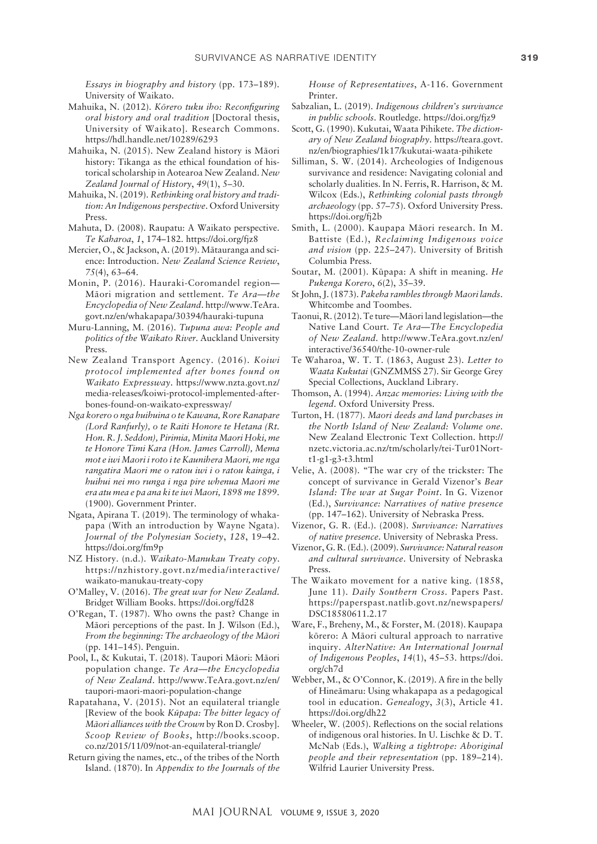*Essays in biography and history* (pp. 173–189). University of Waikato.

- Mahuika, N. (2012). *Körero tuku iho: Reconfiguring oral history and oral tradition* [Doctoral thesis, University of Waikato]. Research Commons. <https://hdl.handle.net/10289/6293>
- Mahuika, N. (2015). New Zealand history is Mäori history: Tikanga as the ethical foundation of historical scholarship in Aotearoa New Zealand. *New Zealand Journal of History*, *49*(1), 5–30.
- Mahuika, N. (2019). *Rethinking oral history and tradition: An Indigenous perspective*. Oxford University Press.
- Mahuta, D. (2008). Raupatu: A Waikato perspective. *Te Kaharoa*, *1*, 174–182. <https://doi.org/fjz8>
- Mercier, O., & Jackson, A. (2019). Mätauranga and science: Introduction. *New Zealand Science Review*, *75*(4), 63–64.
- Monin, P. (2016). Hauraki-Coromandel region— Mäori migration and settlement. *Te Ara—the Encyclopedia of New Zealand*. [http://www.TeAra.](http://www.TeAra.govt.nz/en/whakapapa/30394/hauraki-tupuna) [govt.nz/en/whakapapa/30394/hauraki-tupuna](http://www.TeAra.govt.nz/en/whakapapa/30394/hauraki-tupuna)
- Muru-Lanning, M. (2016). *Tupuna awa: People and politics of the Waikato River.* Auckland University Press.
- New Zealand Transport Agency. (2016). *Koiwi protocol implemented after bones found on Waikato Expressway*. [https://www.nzta.govt.nz/](https://www.nzta.govt.nz/media-releases/koiwi-protocol-implemented-after-bones-found-on-waikato-expressway/) [media-releases/koiwi-protocol-implemented-after](https://www.nzta.govt.nz/media-releases/koiwi-protocol-implemented-after-bones-found-on-waikato-expressway/)[bones-found-on-waikato-expressway/](https://www.nzta.govt.nz/media-releases/koiwi-protocol-implemented-after-bones-found-on-waikato-expressway/)
- *Nga korero o nga huihuina o te Kawana, Rore Ranapare (Lord Ranfurly), o te Raiti Honore te Hetana (Rt. Hon. R. J. Seddon), Pirimia, Minita Maori Hoki, me te Honore Timi Kara (Hon. James Carroll), Mema mot e iwi Maori i roto i te Kaunihera Maori, me nga rangatira Maori me o ratou iwi i o ratou kainga, i huihui nei mo runga i nga pire whenua Maori me era atu mea e pa ana ki te iwi Maori, 1898 me 1899*. (1900). Government Printer.
- Ngata, Apirana T. (2019). The terminology of whakapapa (With an introduction by Wayne Ngata). *Journal of the Polynesian Society*, *128*, 19–42. <https://doi.org/fm9p>
- NZ History. (n.d.). *Waikato-Manukau Treaty copy*. [https://nzhistory.govt.nz/media/interactive/](https://nzhistory.govt.nz/media/interactive/waikato-manukau-treaty-copy) [waikato-manukau-treaty-copy](https://nzhistory.govt.nz/media/interactive/waikato-manukau-treaty-copy)
- O'Malley, V. (2016). *The great war for New Zealand.*  Bridget William Books.<https://doi.org/fd28>
- O'Regan, T. (1987). Who owns the past? Change in Mäori perceptions of the past. In J. Wilson (Ed.), *From the beginning: The archaeology of the Mäori* (pp. 141–145). Penguin.
- Pool, I., & Kukutai, T. (2018). Taupori Mäori: Mäori population change. *Te Ara—the Encyclopedia of New Zealand*. [http://www.TeAra.govt.nz/en/](http://www.TeAra.govt.nz/en/taupori-maori-maori-population-change) [taupori-maori-maori-population-change](http://www.TeAra.govt.nz/en/taupori-maori-maori-population-change)
- Rapatahana, V. (2015). Not an equilateral triangle [Review of the book *Küpapa: The bitter legacy of Mäori alliances with the Crown* by Ron D. Crosby]. *Scoop Review of Books*, http://books.scoop. co.nz/2015/11/09/not-an-equilateral-triangle/
- Return giving the names, etc., of the tribes of the North Island. (1870). In *Appendix to the Journals of the*

*House of Representatives*, A-116. Government Printer.

- Sabzalian, L. (2019). *Indigenous children's survivance in public schools*. Routledge.<https://doi.org/fjz9>
- Scott, G. (1990). Kukutai, Waata Pihikete. *The dictionary of New Zealand biography*. [https://teara.govt.](https://teara.govt.nz/en/biographies/1k17/kukutai-waata-pihikete) [nz/en/biographies/1k17/kukutai-waata-pihikete](https://teara.govt.nz/en/biographies/1k17/kukutai-waata-pihikete)
- Silliman, S. W. (2014). Archeologies of Indigenous survivance and residence: Navigating colonial and scholarly dualities. In N. Ferris, R. Harrison, & M. Wilcox (Eds.), *Rethinking colonial pasts through archaeology* (pp. 57–75). Oxford University Press. <https://doi.org/fj2b>
- Smith, L. (2000). Kaupapa Mäori research. In M. Battiste (Ed.), *Reclaiming Indigenous voice and vision* (pp. 225–247). University of British Columbia Press.
- Soutar, M. (2001). Küpapa: A shift in meaning. *He Pukenga Korero*, *6*(2), 35–39.
- St John, J. (1873). *Pakeha rambles through Maori lands*. Whitcombe and Toombes.
- Taonui, R. (2012). Te ture—Mäori land legislation—the Native Land Court. *Te Ara—The Encyclopedia of New Zealand.* [http://www.TeAra.govt.nz/en/](http://www.TeAra.govt.nz/en/interactive/36540/the-10-owner-rule) [interactive/36540/the-10-owner-rule](http://www.TeAra.govt.nz/en/interactive/36540/the-10-owner-rule)
- Te Waharoa, W. T. T. (1863, August 23). *Letter to Waata Kukutai* (GNZMMSS 27). Sir George Grey Special Collections, Auckland Library.
- Thomson, A. (1994). *Anzac memories: Living with the legend*. Oxford University Press.
- Turton, H. (1877). *Maori deeds and land purchases in the North Island of New Zealand: Volume one*. New Zealand Electronic Text Collection. [http://](http://nzetc.victoria.ac.nz/tm/scholarly/tei-Tur01Nort-t1-g1-g3-t3.html) [nzetc.victoria.ac.nz/tm/scholarly/tei-Tur01Nort](http://nzetc.victoria.ac.nz/tm/scholarly/tei-Tur01Nort-t1-g1-g3-t3.html)[t1-g1-g3-t3.html](http://nzetc.victoria.ac.nz/tm/scholarly/tei-Tur01Nort-t1-g1-g3-t3.html)
- Velie, A. (2008). "The war cry of the trickster: The concept of survivance in Gerald Vizenor's *Bear Island: The war at Sugar Point*. In G. Vizenor (Ed.), *Survivance: Narratives of native presence* (pp. 147–162). University of Nebraska Press.
- Vizenor, G. R. (Ed.). (2008). *Survivance: Narratives of native presence*. University of Nebraska Press.
- Vizenor, G. R. (Ed.). (2009). *Survivance: Natural reason and cultural survivance*. University of Nebraska Press.
- The Waikato movement for a native king. (1858, June 11). *Daily Southern Cross.* Papers Past. [https://paperspast.natlib.govt.nz/newspapers/](https://paperspast.natlib.govt.nz/newspapers/DSC18580611.2.17) [DSC18580611.2.17](https://paperspast.natlib.govt.nz/newspapers/DSC18580611.2.17)
- Ware, F., Breheny, M., & Forster, M. (2018). Kaupapa körero: A Mäori cultural approach to narrative inquiry. *AlterNative: An International Journal of Indigenous Peoples*, *14*(1), 45–53. [https://doi.](https://doi.org/ch7d) [org/ch7d](https://doi.org/ch7d)
- Webber, M., & O'Connor, K. (2019). A fire in the belly of Hineämaru: Using whakapapa as a pedagogical tool in education. *Genealogy*, *3*(3), Article 41. <https://doi.org/dh22>
- Wheeler, W. (2005). Reflections on the social relations of indigenous oral histories. In U. Lischke & D. T. McNab (Eds.), *Walking a tightrope: Aboriginal people and their representation* (pp. 189–214). Wilfrid Laurier University Press.